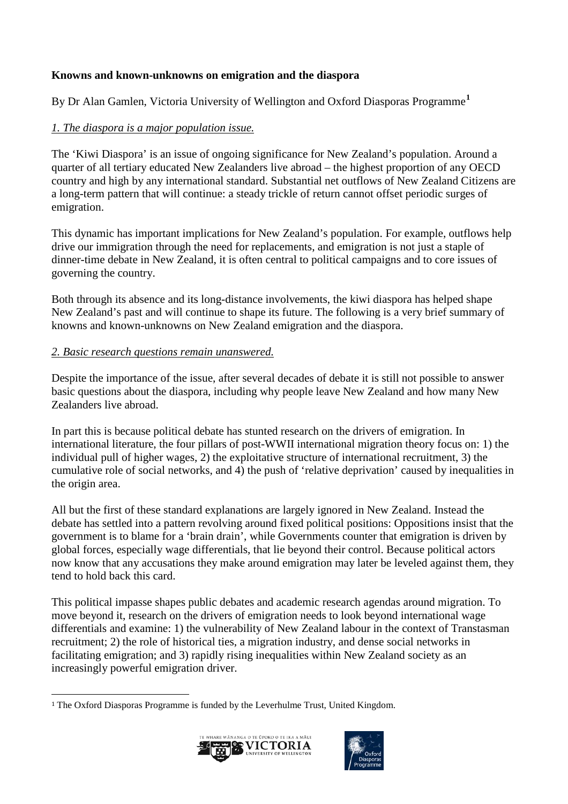## **Knowns and known-unknowns on emigration and the diaspora**

By Dr Alan Gamlen, Victoria University of Wellington and Oxford Diasporas Programme**[1](#page-0-0)**

# *1. The diaspora is a major population issue.*

The 'Kiwi Diaspora' is an issue of ongoing significance for New Zealand's population. Around a quarter of all tertiary educated New Zealanders live abroad – the highest proportion of any OECD country and high by any international standard. Substantial net outflows of New Zealand Citizens are a long-term pattern that will continue: a steady trickle of return cannot offset periodic surges of emigration.

This dynamic has important implications for New Zealand's population. For example, outflows help drive our immigration through the need for replacements, and emigration is not just a staple of dinner-time debate in New Zealand, it is often central to political campaigns and to core issues of governing the country.

Both through its absence and its long-distance involvements, the kiwi diaspora has helped shape New Zealand's past and will continue to shape its future. The following is a very brief summary of knowns and known-unknowns on New Zealand emigration and the diaspora.

#### *2. Basic research questions remain unanswered.*

Despite the importance of the issue, after several decades of debate it is still not possible to answer basic questions about the diaspora, including why people leave New Zealand and how many New Zealanders live abroad.

In part this is because political debate has stunted research on the drivers of emigration. In international literature, the four pillars of post-WWII international migration theory focus on: 1) the individual pull of higher wages, 2) the exploitative structure of international recruitment, 3) the cumulative role of social networks, and 4) the push of 'relative deprivation' caused by inequalities in the origin area.

All but the first of these standard explanations are largely ignored in New Zealand. Instead the debate has settled into a pattern revolving around fixed political positions: Oppositions insist that the government is to blame for a 'brain drain', while Governments counter that emigration is driven by global forces, especially wage differentials, that lie beyond their control. Because political actors now know that any accusations they make around emigration may later be leveled against them, they tend to hold back this card.

This political impasse shapes public debates and academic research agendas around migration. To move beyond it, research on the drivers of emigration needs to look beyond international wage differentials and examine: 1) the vulnerability of New Zealand labour in the context of Transtasman recruitment; 2) the role of historical ties, a migration industry, and dense social networks in facilitating emigration; and 3) rapidly rising inequalities within New Zealand society as an increasingly powerful emigration driver.

<span id="page-0-0"></span> <sup>1</sup> The Oxford Diasporas Programme is funded by the Leverhulme Trust, United Kingdom.



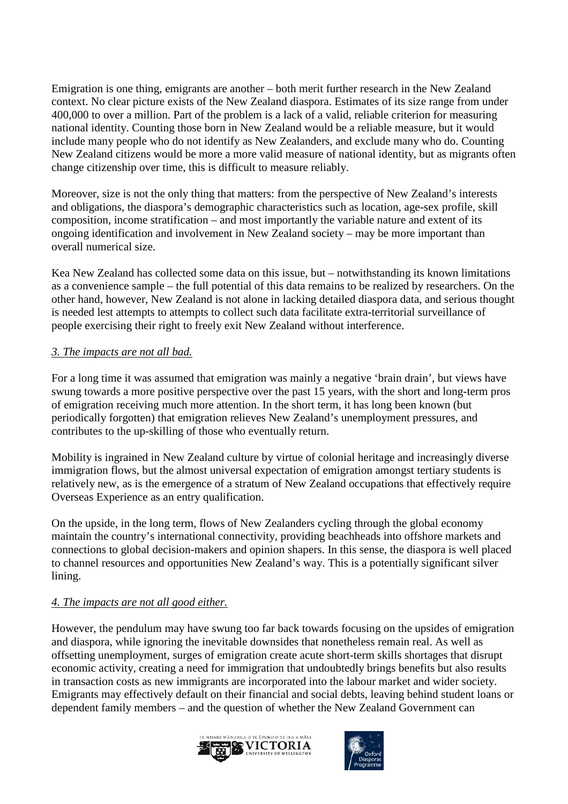Emigration is one thing, emigrants are another – both merit further research in the New Zealand context. No clear picture exists of the New Zealand diaspora. Estimates of its size range from under 400,000 to over a million. Part of the problem is a lack of a valid, reliable criterion for measuring national identity. Counting those born in New Zealand would be a reliable measure, but it would include many people who do not identify as New Zealanders, and exclude many who do. Counting New Zealand citizens would be more a more valid measure of national identity, but as migrants often change citizenship over time, this is difficult to measure reliably.

Moreover, size is not the only thing that matters: from the perspective of New Zealand's interests and obligations, the diaspora's demographic characteristics such as location, age-sex profile, skill composition, income stratification – and most importantly the variable nature and extent of its ongoing identification and involvement in New Zealand society – may be more important than overall numerical size.

Kea New Zealand has collected some data on this issue, but – notwithstanding its known limitations as a convenience sample – the full potential of this data remains to be realized by researchers. On the other hand, however, New Zealand is not alone in lacking detailed diaspora data, and serious thought is needed lest attempts to attempts to collect such data facilitate extra-territorial surveillance of people exercising their right to freely exit New Zealand without interference.

#### *3. The impacts are not all bad.*

For a long time it was assumed that emigration was mainly a negative 'brain drain', but views have swung towards a more positive perspective over the past 15 years, with the short and long-term pros of emigration receiving much more attention. In the short term, it has long been known (but periodically forgotten) that emigration relieves New Zealand's unemployment pressures, and contributes to the up-skilling of those who eventually return.

Mobility is ingrained in New Zealand culture by virtue of colonial heritage and increasingly diverse immigration flows, but the almost universal expectation of emigration amongst tertiary students is relatively new, as is the emergence of a stratum of New Zealand occupations that effectively require Overseas Experience as an entry qualification.

On the upside, in the long term, flows of New Zealanders cycling through the global economy maintain the country's international connectivity, providing beachheads into offshore markets and connections to global decision-makers and opinion shapers. In this sense, the diaspora is well placed to channel resources and opportunities New Zealand's way. This is a potentially significant silver lining.

#### *4. The impacts are not all good either.*

However, the pendulum may have swung too far back towards focusing on the upsides of emigration and diaspora, while ignoring the inevitable downsides that nonetheless remain real. As well as offsetting unemployment, surges of emigration create acute short-term skills shortages that disrupt economic activity, creating a need for immigration that undoubtedly brings benefits but also results in transaction costs as new immigrants are incorporated into the labour market and wider society. Emigrants may effectively default on their financial and social debts, leaving behind student loans or dependent family members – and the question of whether the New Zealand Government can